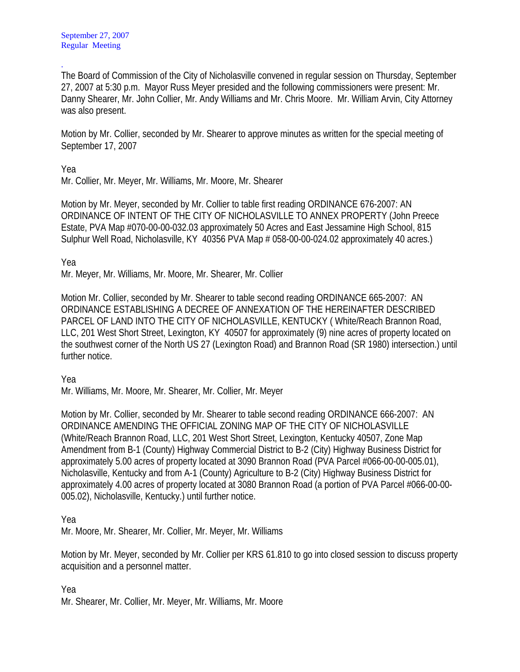The Board of Commission of the City of Nicholasville convened in regular session on Thursday, September 27, 2007 at 5:30 p.m. Mayor Russ Meyer presided and the following commissioners were present: Mr. Danny Shearer, Mr. John Collier, Mr. Andy Williams and Mr. Chris Moore. Mr. William Arvin, City Attorney was also present.

Motion by Mr. Collier, seconded by Mr. Shearer to approve minutes as written for the special meeting of September 17, 2007

Yea

.

Mr. Collier, Mr. Meyer, Mr. Williams, Mr. Moore, Mr. Shearer

Motion by Mr. Meyer, seconded by Mr. Collier to table first reading ORDINANCE 676-2007: AN ORDINANCE OF INTENT OF THE CITY OF NICHOLASVILLE TO ANNEX PROPERTY (John Preece Estate, PVA Map #070-00-00-032.03 approximately 50 Acres and East Jessamine High School, 815 Sulphur Well Road, Nicholasville, KY 40356 PVA Map # 058-00-00-024.02 approximately 40 acres.)

Yea

Mr. Meyer, Mr. Williams, Mr. Moore, Mr. Shearer, Mr. Collier

Motion Mr. Collier, seconded by Mr. Shearer to table second reading ORDINANCE 665-2007: AN ORDINANCE ESTABLISHING A DECREE OF ANNEXATION OF THE HEREINAFTER DESCRIBED PARCEL OF LAND INTO THE CITY OF NICHOLASVILLE, KENTUCKY ( White/Reach Brannon Road, LLC, 201 West Short Street, Lexington, KY 40507 for approximately (9) nine acres of property located on the southwest corner of the North US 27 (Lexington Road) and Brannon Road (SR 1980) intersection.) until further notice.

Yea

Mr. Williams, Mr. Moore, Mr. Shearer, Mr. Collier, Mr. Meyer

Motion by Mr. Collier, seconded by Mr. Shearer to table second reading ORDINANCE 666-2007: AN ORDINANCE AMENDING THE OFFICIAL ZONING MAP OF THE CITY OF NICHOLASVILLE (White/Reach Brannon Road, LLC, 201 West Short Street, Lexington, Kentucky 40507, Zone Map Amendment from B-1 (County) Highway Commercial District to B-2 (City) Highway Business District for approximately 5.00 acres of property located at 3090 Brannon Road (PVA Parcel #066-00-00-005.01), Nicholasville, Kentucky and from A-1 (County) Agriculture to B-2 (City) Highway Business District for approximately 4.00 acres of property located at 3080 Brannon Road (a portion of PVA Parcel #066-00-00- 005.02), Nicholasville, Kentucky.) until further notice.

Yea

Mr. Moore, Mr. Shearer, Mr. Collier, Mr. Meyer, Mr. Williams

Motion by Mr. Meyer, seconded by Mr. Collier per KRS 61.810 to go into closed session to discuss property acquisition and a personnel matter.

Yea

Mr. Shearer, Mr. Collier, Mr. Meyer, Mr. Williams, Mr. Moore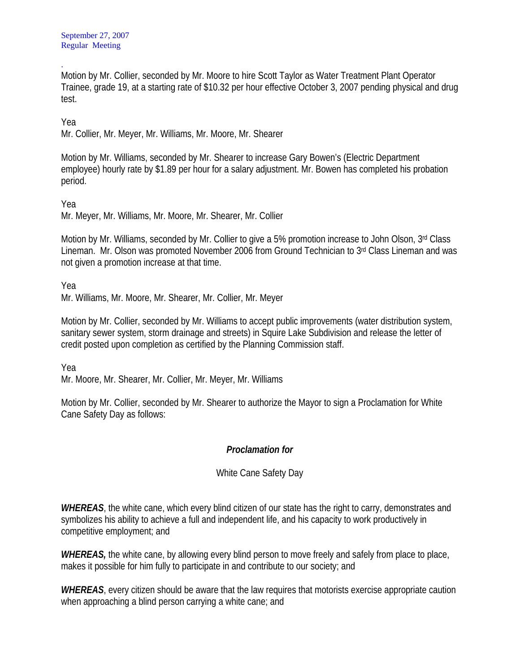Motion by Mr. Collier, seconded by Mr. Moore to hire Scott Taylor as Water Treatment Plant Operator Trainee, grade 19, at a starting rate of \$10.32 per hour effective October 3, 2007 pending physical and drug test.

## Yea

.

Mr. Collier, Mr. Meyer, Mr. Williams, Mr. Moore, Mr. Shearer

Motion by Mr. Williams, seconded by Mr. Shearer to increase Gary Bowen's (Electric Department employee) hourly rate by \$1.89 per hour for a salary adjustment. Mr. Bowen has completed his probation period.

## Yea

Mr. Meyer, Mr. Williams, Mr. Moore, Mr. Shearer, Mr. Collier

Motion by Mr. Williams, seconded by Mr. Collier to give a 5% promotion increase to John Olson, 3<sup>rd</sup> Class Lineman. Mr. Olson was promoted November 2006 from Ground Technician to 3rd Class Lineman and was not given a promotion increase at that time.

Yea

Mr. Williams, Mr. Moore, Mr. Shearer, Mr. Collier, Mr. Meyer

Motion by Mr. Collier, seconded by Mr. Williams to accept public improvements (water distribution system, sanitary sewer system, storm drainage and streets) in Squire Lake Subdivision and release the letter of credit posted upon completion as certified by the Planning Commission staff.

Yea

Mr. Moore, Mr. Shearer, Mr. Collier, Mr. Meyer, Mr. Williams

Motion by Mr. Collier, seconded by Mr. Shearer to authorize the Mayor to sign a Proclamation for White Cane Safety Day as follows:

## *Proclamation for*

White Cane Safety Day

*WHEREAS*, the white cane, which every blind citizen of our state has the right to carry, demonstrates and symbolizes his ability to achieve a full and independent life, and his capacity to work productively in competitive employment; and

*WHEREAS,* the white cane, by allowing every blind person to move freely and safely from place to place, makes it possible for him fully to participate in and contribute to our society; and

*WHEREAS*, every citizen should be aware that the law requires that motorists exercise appropriate caution when approaching a blind person carrying a white cane; and